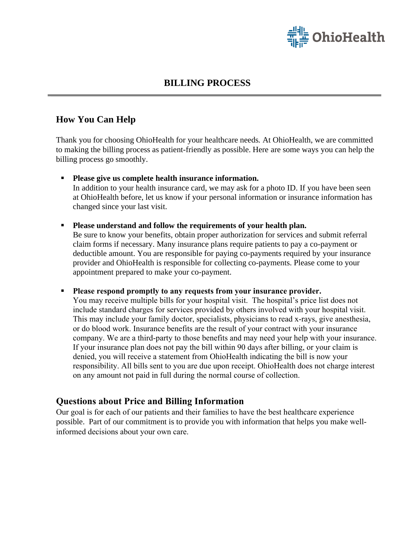

### **BILLING PROCESS**

#### **How You Can Help**

Thank you for choosing OhioHealth for your healthcare needs*.* At OhioHealth, we are committed to making the billing process as patient-friendly as possible. Here are some ways you can help the billing process go smoothly.

- **Please give us complete health insurance information.** In addition to your health insurance card, we may ask for a photo ID. If you have been seen at OhioHealth before, let us know if your personal information or insurance information has changed since your last visit.
- **Please understand and follow the requirements of your health plan.** Be sure to know your benefits, obtain proper authorization for services and submit referral claim forms if necessary. Many insurance plans require patients to pay a co-payment or deductible amount. You are responsible for paying co-payments required by your insurance provider and OhioHealth is responsible for collecting co-payments. Please come to your appointment prepared to make your co-payment.

 **Please respond promptly to any requests from your insurance provider.** You may receive multiple bills for your hospital visit. The hospital's price list does not include standard charges for services provided by others involved with your hospital visit. This may include your family doctor, specialists, physicians to read x-rays, give anesthesia, or do blood work. Insurance benefits are the result of your contract with your insurance company. We are a third-party to those benefits and may need your help with your insurance. If your insurance plan does not pay the bill within 90 days after billing, or your claim is denied, you will receive a statement from OhioHealth indicating the bill is now your responsibility. All bills sent to you are due upon receipt. OhioHealth does not charge interest on any amount not paid in full during the normal course of collection.

#### **Questions about Price and Billing Information**

Our goal is for each of our patients and their families to have the best healthcare experience possible. Part of our commitment is to provide you with information that helps you make wellinformed decisions about your own care.